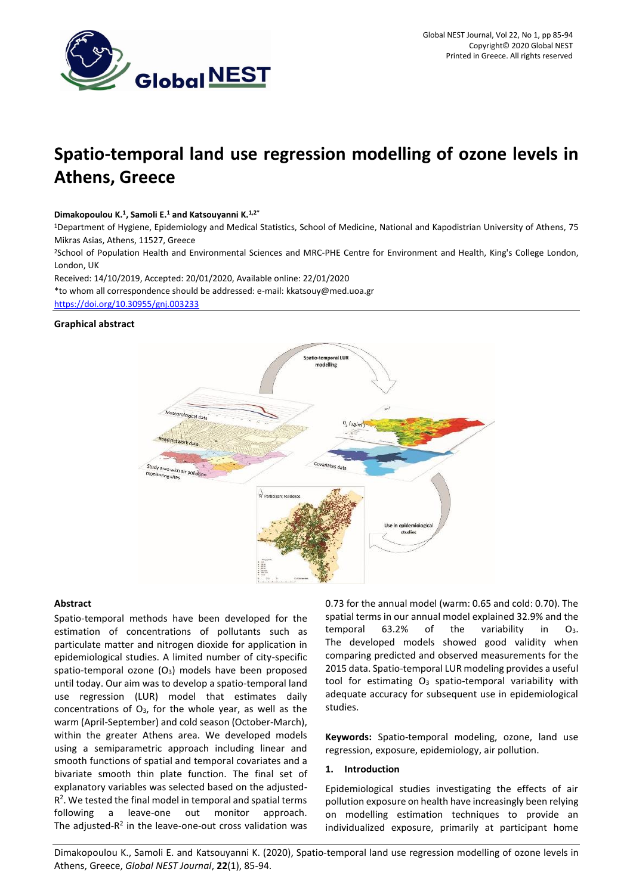

# **Spatio-temporal land use regression modelling of ozone levels in Athens, Greece**

## **Dimakopoulou K.<sup>1</sup> , Samoli E.<sup>1</sup> and Katsouyanni K.1,2\***

<sup>1</sup>Department of Hygiene, Epidemiology and Medical Statistics, School of Medicine, National and Kapodistrian University of Athens, 75 Mikras Asias, Athens, 11527, Greece

<sup>2</sup>School of Population Health and Environmental Sciences and MRC-PHE Centre for Environment and Health, King's College London, London, UK

Received: 14/10/2019, Accepted: 20/01/2020, Available online: 22/01/2020

\*to whom all correspondence should be addressed: e-mail[: kkatsouy@med.uoa.gr](mailto:kkatsouy@med.uoa.gr)

<https://doi.org/10.30955/gnj.003233>

#### **Graphical abstract**



### **Abstract**

Spatio-temporal methods have been developed for the estimation of concentrations of pollutants such as particulate matter and nitrogen dioxide for application in epidemiological studies. A limited number of city-specific spatio-temporal ozone  $(O_3)$  models have been proposed until today. Our aim was to develop a spatio-temporal land use regression (LUR) model that estimates daily concentrations of O3, for the whole year, as well as the warm (April-September) and cold season (October-March), within the greater Athens area. We developed models using a semiparametric approach including linear and smooth functions of spatial and temporal covariates and a bivariate smooth thin plate function. The final set of explanatory variables was selected based on the adjusted- $R<sup>2</sup>$ . We tested the final model in temporal and spatial terms following a leave-one out monitor approach. The adjusted- $R^2$  in the leave-one-out cross validation was 0.73 for the annual model (warm: 0.65 and cold: 0.70). The spatial terms in our annual model explained 32.9% and the temporal  $63.2\%$  of the variability in  $O_3$ . The developed models showed good validity when comparing predicted and observed measurements for the 2015 data. Spatio-temporal LUR modeling provides a useful tool for estimating  $O_3$  spatio-temporal variability with adequate accuracy for subsequent use in epidemiological studies.

**Keywords:** Spatio-temporal modeling, ozone, land use regression, exposure, epidemiology, air pollution.

#### **1. Introduction**

Epidemiological studies investigating the effects of air pollution exposure on health have increasingly been relying on modelling estimation techniques to provide an individualized exposure, primarily at participant home

Dimakopoulou K., Samoli E. and Katsouyanni K. (2020), Spatio-temporal land use regression modelling of ozone levels in Athens, Greece, *Global NEST Journal*, **22**(1), 85-94.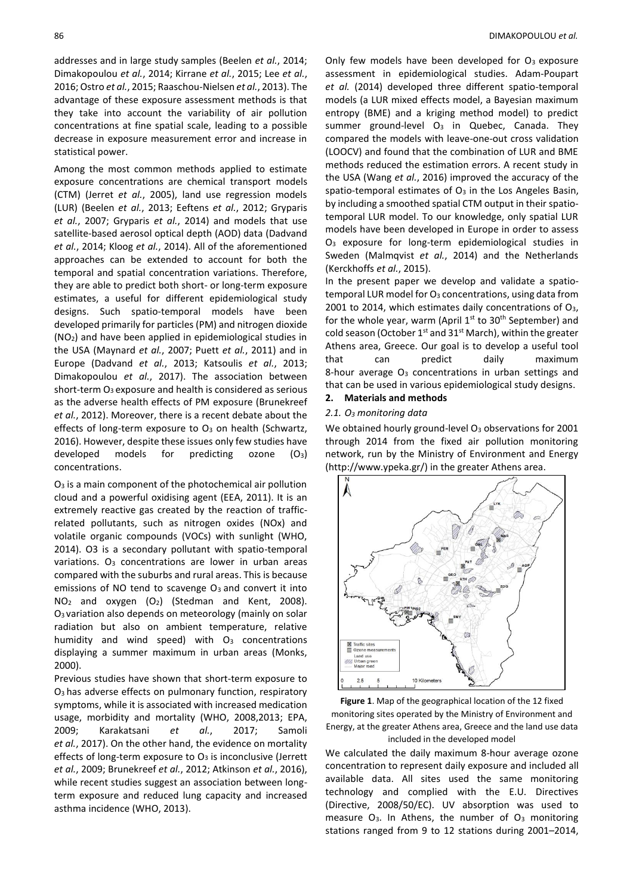addresses and in large study samples (Beelen *et al.*, 2014; Dimakopoulou *et al.*, 2014; Kirrane *et al.*, 2015; Lee *et al.*, 2016; Ostro *et al.*, 2015; Raaschou-Nielsen *et al.*, 2013). The advantage of these exposure assessment methods is that they take into account the variability of air pollution concentrations at fine spatial scale, leading to a possible decrease in exposure measurement error and increase in statistical power.

Among the most common methods applied to estimate exposure concentrations are chemical transport models (CTM) (Jerret *et al.*, 2005), land use regression models (LUR) (Beelen *et al.*, 2013; Eeftens *et al.*, 2012; Gryparis *et al.*, 2007; Gryparis *et al.*, 2014) and models that use satellite-based aerosol optical depth (AOD) data (Dadvand *et al.*, 2014; Kloog *et al.*, 2014). All of the aforementioned approaches can be extended to account for both the temporal and spatial concentration variations. Therefore, they are able to predict both short- or long-term exposure estimates, a useful for different epidemiological study designs. Such spatio-temporal models have been developed primarily for particles (PM) and nitrogen dioxide (NO2) and have been applied in epidemiological studies in the USA (Maynard *et al.*, 2007; Puett *et al.*, 2011) and in Europe (Dadvand *et al.*, 2013; Katsoulis *et al.*, 2013; Dimakopoulou *et al.*, 2017). The association between short-term O<sub>3</sub> exposure and health is considered as serious as the adverse health effects of PM exposure (Brunekreef *et al.*, 2012). Moreover, there is a recent debate about the effects of long-term exposure to  $O_3$  on health (Schwartz, 2016). However, despite these issues only few studies have developed models for predicting ozone  $(O_3)$ concentrations.

 $O<sub>3</sub>$  is a main component of the photochemical air pollution cloud and a powerful oxidising agent (EEA, 2011). It is an extremely reactive gas created by the reaction of trafficrelated pollutants, such as nitrogen oxides (NOx) and volatile organic compounds (VOCs) with sunlight (WHO, 2014). O3 is a secondary pollutant with spatio-temporal variations. O<sub>3</sub> concentrations are lower in urban areas compared with the suburbs and rural areas. This is because emissions of NO tend to scavenge O<sub>3</sub> and convert it into NO<sup>2</sup> and oxygen (O2) (Stedman and Kent, 2008). O3 variation also depends on meteorology (mainly on solar radiation but also on ambient temperature, relative humidity and wind speed) with  $O<sub>3</sub>$  concentrations displaying a summer maximum in urban areas (Monks, 2000).

Previous studies have shown that short-term exposure to O<sup>3</sup> has adverse effects on pulmonary function, respiratory symptoms, while it is associated with increased medication usage, morbidity and mortality (WHO, 2008,2013; EPA, 2009; Karakatsani *et al.*, 2017; Samoli *et al.*, 2017). On the other hand, the evidence on mortality effects of long-term exposure to O<sub>3</sub> is inconclusive (Jerrett *et al.*, 2009; Brunekreef *et al.*, 2012; Atkinson *et al.*, 2016), while recent studies suggest an association between longterm exposure and reduced lung capacity and increased asthma incidence (WHO, 2013).

Only few models have been developed for  $O<sub>3</sub>$  exposure assessment in epidemiological studies. Adam-Poupart *et al.* (2014) developed three different spatio-temporal models (a LUR mixed effects model, a Bayesian maximum entropy (BME) and a kriging method model) to predict summer ground-level  $O_3$  in Quebec, Canada. They compared the models with leave-one-out cross validation (LOOCV) and found that the combination of LUR and BME methods reduced the estimation errors. A recent study in the USA (Wang *et al.*, 2016) improved the accuracy of the spatio-temporal estimates of  $O<sub>3</sub>$  in the Los Angeles Basin, by including a smoothed spatial CTM output in their spatiotemporal LUR model. To our knowledge, only spatial LUR models have been developed in Europe in order to assess O<sup>3</sup> exposure for long-term epidemiological studies in Sweden (Malmqvist *et al.*, 2014) and the Netherlands (Kerckhoffs *et al.*, 2015).

In the present paper we develop and validate a spatiotemporal LUR model for O<sub>3</sub> concentrations, using data from 2001 to 2014, which estimates daily concentrations of O3, for the whole year, warm (April  $1<sup>st</sup>$  to  $30<sup>th</sup>$  September) and cold season (October  $1<sup>st</sup>$  and  $31<sup>st</sup>$  March), within the greater Athens area, Greece. Our goal is to develop a useful tool that can predict daily maximum 8-hour average O<sup>3</sup> concentrations in urban settings and that can be used in various epidemiological study designs.

## **2. Materials and methods**

#### *2.1. O<sup>3</sup> monitoring data*

We obtained hourly ground-level  $O_3$  observations for 2001 through 2014 from the fixed air pollution monitoring network, run by the Ministry of Environment and Energy (http://www.ypeka.gr/) in the greater Athens area.



**Figure 1**. Map of the geographical location of the 12 fixed monitoring sites operated by the Ministry of Environment and Energy, at the greater Athens area, Greece and the land use data included in the developed model

We calculated the daily maximum 8-hour average ozone concentration to represent daily exposure and included all available data. All sites used the same monitoring technology and complied with the E.U. Directives (Directive, 2008/50/EC). UV absorption was used to measure O<sub>3</sub>. In Athens, the number of O<sub>3</sub> monitoring stations ranged from 9 to 12 stations during 2001–2014,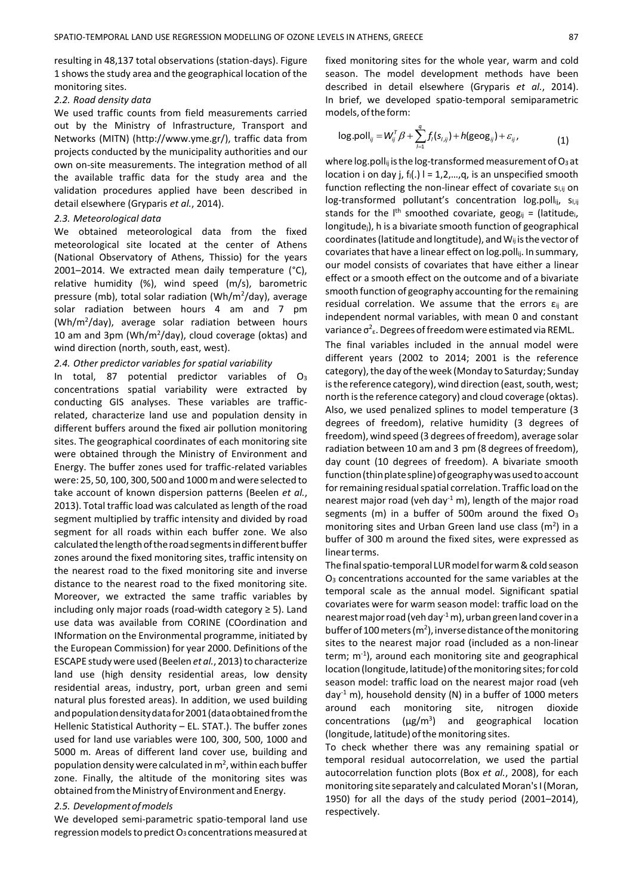resulting in 48,137 total observations (station-days). Figure 1 shows the study area and the geographical location of the monitoring sites.

#### *2.2. Road density data*

We used traffic counts from field measurements carried out by the Ministry of Infrastructure, Transport and Networks (MITN) (http://www.yme.gr/), traffic data from projects conducted by the municipality authorities and our own on-site measurements. The integration method of all the available traffic data for the study area and the validation procedures applied have been described in detail elsewhere (Gryparis *et al.*, 2014).

#### *2.3. Meteorological data*

We obtained meteorological data from the fixed meteorological site located at the center of Athens (National Observatory of Athens, Thissio) for the years 2001–2014. We extracted mean daily temperature (°C), relative humidity (%), wind speed (m/s), barometric pressure (mb), total solar radiation (Wh/m<sup>2</sup>/day), average solar radiation between hours 4 am and 7 pm (Wh/m<sup>2</sup> /day), average solar radiation between hours 10 am and 3pm (Wh/m<sup>2</sup>/day), cloud coverage (oktas) and wind direction (north, south, east, west).

## *2.4. Other predictor variables for spatial variability*

In total, 87 potential predictor variables of O<sup>3</sup> concentrations spatial variability were extracted by conducting GIS analyses. These variables are trafficrelated, characterize land use and population density in different buffers around the fixed air pollution monitoring sites. The geographical coordinates of each monitoring site were obtained through the Ministry of Environment and Energy. The buffer zones used for traffic-related variables were: 25, 50, 100, 300, 500 and 1000mand were selected to take account of known dispersion patterns (Beelen *et al.*, 2013). Total traffic load was calculated as length of the road segment multiplied by traffic intensity and divided by road segment for all roads within each buffer zone. We also calculated the length of the road segments in different buffer zones around the fixed monitoring sites, traffic intensity on the nearest road to the fixed monitoring site and inverse distance to the nearest road to the fixed monitoring site. Moreover, we extracted the same traffic variables by including only major roads (road-width category ≥ 5). Land use data was available from CORINE (COordination and INformation on the Environmental programme, initiated by the European Commission) for year 2000. Definitions of the ESCAPE study were used (Beelen *et al.*, 2013) to characterize land use (high density residential areas, low density residential areas, industry, port, urban green and semi natural plus forested areas). In addition, we used building and population density data for 2001 (data obtained from the Hellenic Statistical Authority – EL. STAT.). The buffer zones used for land use variables were 100, 300, 500, 1000 and 5000 m. Areas of different land cover use, building and population density were calculated in  $m^2$ , within each buffer zone. Finally, the altitude of the monitoring sites was obtained from the Ministry of Environment and Energy.

#### *2.5. Developmentofmodels*

We developed semi-parametric spatio-temporal land use regression models to predict  $O_3$  concentrations measured at fixed monitoring sites for the whole year, warm and cold season. The model development methods have been described in detail elsewhere (Gryparis *et al.*, 2014). In brief, we developed spatio-temporal semiparametric models,oftheform:

$$
\log{\text{poly}}_j = W_{ij}^T \beta + \sum_{l=1}^q f_l(s_{l,jj}) + h(\text{geog}_{ij}) + \varepsilon_{ij},
$$
\n(1)

where log.poll<sub>ij</sub> is the log-transformed measurement of  $O_3$  at location i on day j,  $f_1(.)$  l = 1,2,...,q, is an unspecified smooth function reflecting the non-linear effect of covariate  $s$ <sub>l,ij</sub> on log-transformed pollutant's concentration log.pollij, SI,ij stands for the I<sup>th</sup> smoothed covariate, geog<sub>ij</sub> = (latitudei, longitudej), h is a bivariate smooth function of geographical coordinates (latitude and longtitude), and W<sub>ij</sub> is the vector of covariates that have a linear effect on log.poll<sub>ij</sub>. In summary, our model consists of covariates that have either a linear effect or a smooth effect on the outcome and of a bivariate smooth function of geography accounting forthe remaining residual correlation. We assume that the errors  $\varepsilon_{ij}$  are independent normal variables, with mean 0 and constant variance σ<sup>2</sup>ε. Degrees of freedom were estimated via REML.

The final variables included in the annual model were different years (2002 to 2014; 2001 is the reference category), the day of the week (Monday to Saturday; Sunday is the reference category), wind direction (east, south, west; north isthe reference category) and cloud coverage (oktas). Also, we used penalized splines to model temperature (3 degrees of freedom), relative humidity (3 degrees of freedom), wind speed (3 degrees of freedom), average solar radiation between 10 am and 3 pm (8 degrees of freedom), day count (10 degrees of freedom). A bivariate smooth function (thin plate spline) of geography was used to account for remaining residual spatial correlation. Traffic load on the nearest major road (veh day $^{-1}$  m), length of the major road segments (m) in a buffer of 500m around the fixed O<sup>3</sup> monitoring sites and Urban Green land use class  $(m^2)$  in a buffer of 300 m around the fixed sites, were expressed as linearterms.

Thefinalspatio-temporal LURmodelforwarm&coldseason O<sup>3</sup> concentrations accounted for the same variables at the temporal scale as the annual model. Significant spatial covariates were for warm season model: traffic load on the nearest major road (veh day<sup>-1</sup>m), urban green land cover in a buffer of 100 meters (m<sup>2</sup>), inverse distance of the monitoring sites to the nearest major road (included as a non-linear term; m<sup>-1</sup>), around each monitoring site and geographical location (longitude, latitude) of the monitoring sites; for cold season model: traffic load on the nearest major road (veh day<sup>-1</sup> m), household density (N) in a buffer of 1000 meters around each monitoring site, nitrogen dioxide concentrations  $(\mu g/m^3)$  and geographical location (longitude, latitude) of the monitoring sites.

To check whether there was any remaining spatial or temporal residual autocorrelation, we used the partial autocorrelation function plots (Box *et al.*, 2008), for each monitoring site separately and calculated Moran'sI(Moran, 1950) for all the days of the study period (2001–2014), respectively.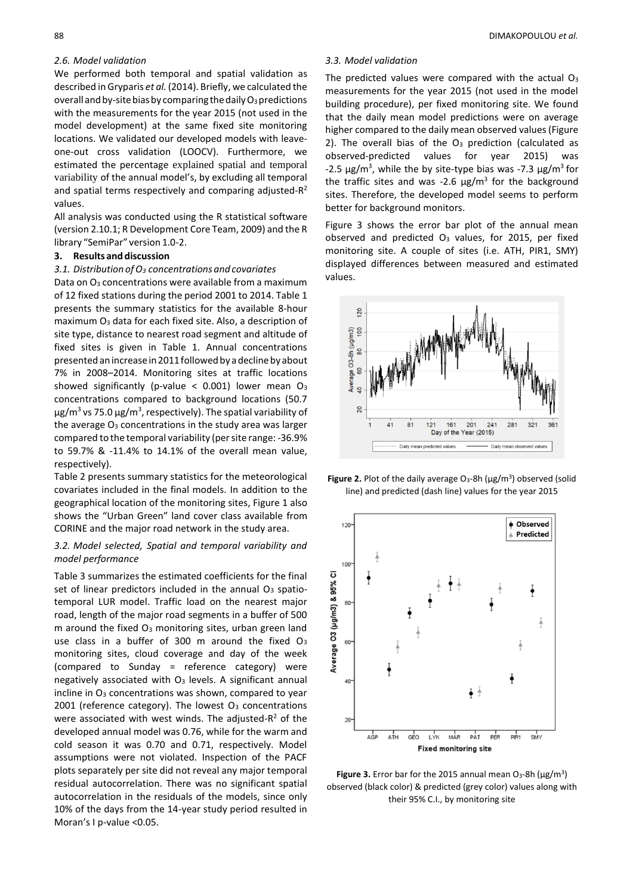## *2.6. Model validation*

We performed both temporal and spatial validation as described in Gryparis *et al.* (2014). Briefly, we calculated the overall and by-site bias by comparing the daily  $O_3$  predictions with the measurements for the year 2015 (not used in the model development) at the same fixed site monitoring locations. We validated our developed models with leaveone-out cross validation (LOOCV). Furthermore, we estimated the percentage explained spatial and temporal variability of the annual model's, by excluding all temporal and spatial terms respectively and comparing adjusted-R<sup>2</sup> values.

All analysis was conducted using the R statistical software (version 2.10.1; R Development Core Team, 2009) and the R library "SemiPar" version 1.0-2.

## **3. Results and discussion**

#### *3.1. Distribution ofO<sup>3</sup> concentrations and covariates*

Data on O<sub>3</sub> concentrations were available from a maximum of 12 fixed stations during the period 2001 to 2014. Table 1 presents the summary statistics for the available 8-hour maximum O<sup>3</sup> data for each fixed site. Also, a description of site type, distance to nearest road segment and altitude of fixed sites is given in Table 1. Annual concentrations presentedanincreasein2011followedby adeclineby about 7% in 2008–2014. Monitoring sites at traffic locations showed significantly (p-value  $<$  0.001) lower mean O<sub>3</sub> concentrations compared to background locations (50.7 μg/m<sup>3</sup> vs 75.0 μg/m<sup>3</sup>, respectively). The spatial variability of the average  $O_3$  concentrations in the study area was larger compared to the temporal variability (persite range: -36.9% to 59.7% & -11.4% to 14.1% of the overall mean value, respectively).

Table 2 presents summary statistics for the meteorological covariates included in the final models. In addition to the geographical location of the monitoring sites, Figure 1 also shows the "Urban Green" land cover class available from CORINE and the major road network in the study area.

## *3.2. Model selected, Spatial and temporal variability and model performance*

Table 3 summarizes the estimated coefficients for the final set of linear predictors included in the annual  $O<sub>3</sub>$  spatiotemporal LUR model. Traffic load on the nearest major road, length of the major road segments in a buffer of 500 m around the fixed  $O_3$  monitoring sites, urban green land use class in a buffer of 300 m around the fixed O<sup>3</sup> monitoring sites, cloud coverage and day of the week (compared to Sunday = reference category) were negatively associated with  $O<sub>3</sub>$  levels. A significant annual incline in  $O_3$  concentrations was shown, compared to year 2001 (reference category). The lowest  $O<sub>3</sub>$  concentrations were associated with west winds. The adjusted- $R^2$  of the developed annual model was 0.76, while for the warm and cold season it was 0.70 and 0.71, respectively. Model assumptions were not violated. Inspection of the PACF plots separately per site did not reveal any major temporal residual autocorrelation. There was no significant spatial autocorrelation in the residuals of the models, since only 10% of the days from the 14-year study period resulted in Moran's I p-value <0.05.

#### *3.3. Model validation*

The predicted values were compared with the actual  $O<sub>3</sub>$ measurements for the year 2015 (not used in the model building procedure), per fixed monitoring site. We found that the daily mean model predictions were on average higher compared to the daily mean observed values (Figure 2). The overall bias of the O<sub>3</sub> prediction (calculated as observed-predicted values for year 2015) was -2.5  $\mu$ g/m<sup>3</sup>, while the by site-type bias was -7.3  $\mu$ g/m<sup>3</sup> for the traffic sites and was -2.6  $\mu$ g/m<sup>3</sup> for the background sites. Therefore, the developed model seems to perform better for background monitors.

Figure 3 shows the error bar plot of the annual mean observed and predicted  $O_3$  values, for 2015, per fixed monitoring site. A couple of sites (i.e. ATH, PIR1, SMY) displayed differences between measured and estimated values.



**Figure 2.** Plot of the daily average  $O_3$ -8h ( $\mu$ g/m<sup>3</sup>) observed (solid line) and predicted (dash line) values for the year 2015



**Figure 3.** Error bar for the 2015 annual mean  $O_3$ -8h ( $\mu$ g/m<sup>3</sup>) observed (black color) & predicted (grey color) values along with their 95% C.I., by monitoring site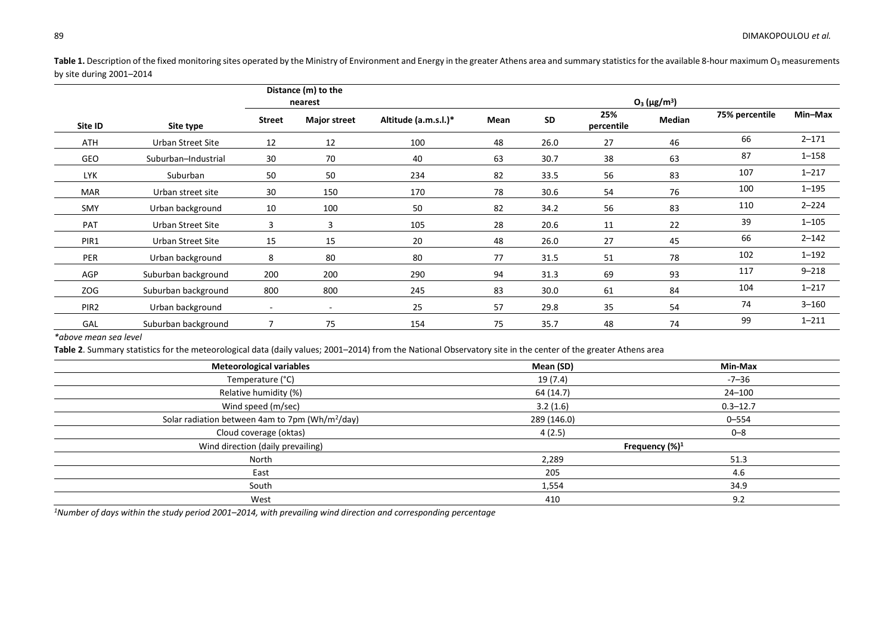Table 1. Description of the fixed monitoring sites operated by the Ministry of Environment and Energy in the greater Athens area and summary statistics for the available 8-hour maximum O<sub>3</sub> measurements by site during 2001–2014

|                  |                     |                          | Distance (m) to the<br>nearest |                      |      | $O_3 (\mu g/m^3)$ |                   |        |                |           |  |
|------------------|---------------------|--------------------------|--------------------------------|----------------------|------|-------------------|-------------------|--------|----------------|-----------|--|
| Site ID          | Site type           | <b>Street</b>            | <b>Major street</b>            | Altitude (a.m.s.l.)* | Mean | SD                | 25%<br>percentile | Median | 75% percentile | Min-Max   |  |
| ATH              | Urban Street Site   | 12                       | 12                             | 100                  | 48   | 26.0              | 27                | 46     | 66             | $2 - 171$ |  |
| GEO              | Suburban-Industrial | 30                       | 70                             | 40                   | 63   | 30.7              | 38                | 63     | 87             | $1 - 158$ |  |
| <b>LYK</b>       | Suburban            | 50                       | 50                             | 234                  | 82   | 33.5              | 56                | 83     | 107            | $1 - 217$ |  |
| <b>MAR</b>       | Urban street site   | 30                       | 150                            | 170                  | 78   | 30.6              | 54                | 76     | 100            | $1 - 195$ |  |
| <b>SMY</b>       | Urban background    | 10                       | 100                            | 50                   | 82   | 34.2              | 56                | 83     | 110            | $2 - 224$ |  |
| <b>PAT</b>       | Urban Street Site   | 3                        | 3                              | 105                  | 28   | 20.6              | 11                | 22     | 39             | $1 - 105$ |  |
| PIR1             | Urban Street Site   | 15                       | 15                             | 20                   | 48   | 26.0              | 27                | 45     | 66             | $2 - 142$ |  |
| <b>PER</b>       | Urban background    | 8                        | 80                             | 80                   | 77   | 31.5              | 51                | 78     | 102            | $1 - 192$ |  |
| AGP              | Suburban background | 200                      | 200                            | 290                  | 94   | 31.3              | 69                | 93     | 117            | $9 - 218$ |  |
| ZOG              | Suburban background | 800                      | 800                            | 245                  | 83   | 30.0              | 61                | 84     | 104            | $1 - 217$ |  |
| PIR <sub>2</sub> | Urban background    | $\overline{\phantom{a}}$ | $\overline{\phantom{a}}$       | 25                   | 57   | 29.8              | 35                | 54     | 74             | $3 - 160$ |  |
| GAL              | Suburban background | $\overline{7}$           | 75                             | 154                  | 75   | 35.7              | 48                | 74     | 99             | $1 - 211$ |  |

*\*above mean sea level*

**Table 2**. Summary statistics for the meteorological data (daily values; 2001–2014) from the National Observatory site in the center of the greater Athens area

| <b>Meteorological variables</b>                             | Mean (SD)   | Min-Max                    |  |
|-------------------------------------------------------------|-------------|----------------------------|--|
| Temperature (°C)                                            | 19 (7.4)    | $-7 - 36$                  |  |
| Relative humidity (%)                                       | 64 (14.7)   | $24 - 100$                 |  |
| Wind speed (m/sec)                                          | 3.2(1.6)    | $0.3 - 12.7$               |  |
| Solar radiation between 4am to 7pm (Wh/m <sup>2</sup> /day) | 289 (146.0) | $0 - 554$                  |  |
| Cloud coverage (oktas)                                      | 4(2.5)      | $0 - 8$                    |  |
| Wind direction (daily prevailing)                           |             | Frequency (%) <sup>1</sup> |  |
| North                                                       | 2,289       | 51.3                       |  |
| East                                                        | 205         | 4.6                        |  |
| South                                                       | 1,554       | 34.9                       |  |
| West                                                        | 410         | 9.2                        |  |

*1Number of days within the study period 2001–2014, with prevailing wind direction and corresponding percentage*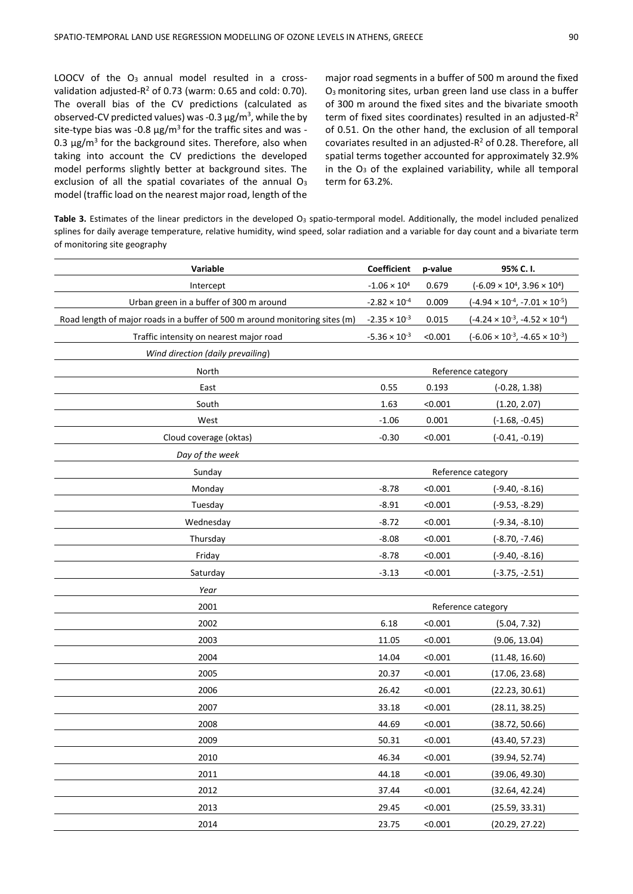LOOCV of the O<sub>3</sub> annual model resulted in a crossvalidation adjusted- $R^2$  of 0.73 (warm: 0.65 and cold: 0.70). The overall bias of the CV predictions (calculated as observed-CV predicted values) was -0.3  $\mu$ g/m<sup>3</sup>, while the by site-type bias was -0.8  $\mu$ g/m<sup>3</sup> for the traffic sites and was -0.3  $\mu$ g/m<sup>3</sup> for the background sites. Therefore, also when taking into account the CV predictions the developed model performs slightly better at background sites. The exclusion of all the spatial covariates of the annual  $O<sub>3</sub>$ model (traffic load on the nearest major road, length of the

major road segments in a buffer of 500 m around the fixed O3 monitoring sites, urban green land use class in a buffer of 300 m around the fixed sites and the bivariate smooth term of fixed sites coordinates) resulted in an adjusted-R<sup>2</sup> of 0.51. On the other hand, the exclusion of all temporal covariates resulted in an adjusted-R <sup>2</sup> of 0.28. Therefore, all spatial terms together accounted for approximately 32.9% in the  $O_3$  of the explained variability, while all temporal term for 63.2%.

Table 3. Estimates of the linear predictors in the developed O<sub>3</sub> spatio-termporal model. Additionally, the model included penalized splines for daily average temperature, relative humidity, wind speed, solar radiation and a variable for day count and a bivariate term of monitoring site geography

| Variable                                                                    | <b>Coefficient</b>     | p-value            | 95% C.I.                                       |  |  |
|-----------------------------------------------------------------------------|------------------------|--------------------|------------------------------------------------|--|--|
| Intercept                                                                   | $-1.06 \times 10^{4}$  | 0.679              | $(-6.09 \times 10^4, 3.96 \times 10^4)$        |  |  |
| Urban green in a buffer of 300 m around                                     | $-2.82 \times 10^{-4}$ | 0.009              | $(-4.94 \times 10^{-4}, -7.01 \times 10^{-5})$ |  |  |
| Road length of major roads in a buffer of 500 m around monitoring sites (m) | $-2.35 \times 10^{-3}$ | 0.015              | $(-4.24 \times 10^{-3}, -4.52 \times 10^{-4})$ |  |  |
| Traffic intensity on nearest major road                                     | $-5.36 \times 10^{-3}$ | < 0.001            | $(-6.06 \times 10^{-3}, -4.65 \times 10^{-3})$ |  |  |
| Wind direction (daily prevailing)                                           |                        |                    |                                                |  |  |
| North                                                                       |                        | Reference category |                                                |  |  |
| East                                                                        | 0.55                   | 0.193              | $(-0.28, 1.38)$                                |  |  |
| South                                                                       | 1.63                   | < 0.001            | (1.20, 2.07)                                   |  |  |
| West                                                                        | $-1.06$                | 0.001              | $(-1.68, -0.45)$                               |  |  |
| Cloud coverage (oktas)                                                      | $-0.30$                | < 0.001            | $(-0.41, -0.19)$                               |  |  |
| Day of the week                                                             |                        |                    |                                                |  |  |
| Sunday                                                                      | Reference category     |                    |                                                |  |  |
| Monday                                                                      | $-8.78$                | < 0.001            | $(-9.40, -8.16)$                               |  |  |
| Tuesday                                                                     | $-8.91$                | < 0.001            | $(-9.53, -8.29)$                               |  |  |
| Wednesday                                                                   | $-8.72$                | < 0.001            | $(-9.34, -8.10)$                               |  |  |
| Thursday                                                                    | $-8.08$                | < 0.001            | $(-8.70, -7.46)$                               |  |  |
| Friday                                                                      | $-8.78$                | < 0.001            | $(-9.40, -8.16)$                               |  |  |
| Saturday                                                                    | $-3.13$                | < 0.001            | $(-3.75, -2.51)$                               |  |  |
| Year                                                                        |                        |                    |                                                |  |  |
| 2001                                                                        |                        |                    | Reference category                             |  |  |
| 2002                                                                        | 6.18                   | < 0.001            | (5.04, 7.32)                                   |  |  |
| 2003                                                                        | 11.05                  | < 0.001            | (9.06, 13.04)                                  |  |  |
| 2004                                                                        | 14.04                  | < 0.001            | (11.48, 16.60)                                 |  |  |
| 2005                                                                        | 20.37                  | < 0.001            | (17.06, 23.68)                                 |  |  |
| 2006                                                                        | 26.42                  | < 0.001            | (22.23, 30.61)                                 |  |  |
| 2007                                                                        | 33.18                  | < 0.001            | (28.11, 38.25)                                 |  |  |
| 2008                                                                        | 44.69                  | < 0.001            | (38.72, 50.66)                                 |  |  |
| 2009                                                                        | 50.31                  | < 0.001            | (43.40, 57.23)                                 |  |  |
| 2010                                                                        | 46.34                  | < 0.001            | (39.94, 52.74)                                 |  |  |
| 2011                                                                        | 44.18                  | < 0.001            | (39.06, 49.30)                                 |  |  |
| 2012                                                                        | 37.44                  | < 0.001            | (32.64, 42.24)                                 |  |  |
| 2013                                                                        | 29.45                  | < 0.001            | (25.59, 33.31)                                 |  |  |
| 2014                                                                        | 23.75                  | < 0.001            | (20.29, 27.22)                                 |  |  |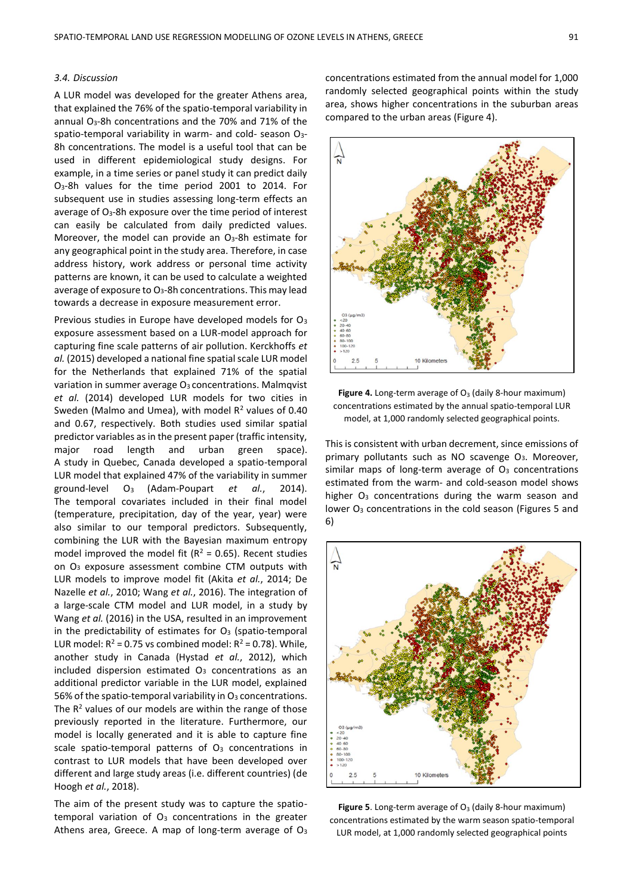### *3.4. Discussion*

A LUR model was developed for the greater Athens area, that explained the 76% of the spatio-temporal variability in annual O<sub>3</sub>-8h concentrations and the 70% and 71% of the spatio-temporal variability in warm- and cold- season O3- 8h concentrations. The model is a useful tool that can be used in different epidemiological study designs. For example, in a time series or panel study it can predict daily O3-8h values for the time period 2001 to 2014. For subsequent use in studies assessing long-term effects an average of  $O<sub>3</sub>$ -8h exposure over the time period of interest can easily be calculated from daily predicted values. Moreover, the model can provide an  $O<sub>3</sub>$ -8h estimate for any geographical point in the study area. Therefore, in case address history, work address or personal time activity patterns are known, it can be used to calculate a weighted average of exposure to O<sub>3</sub>-8h concentrations. This may lead towards a decrease in exposure measurement error.

Previous studies in Europe have developed models for O<sup>3</sup> exposure assessment based on a LUR-model approach for capturing fine scale patterns of air pollution. Kerckhoffs *et al.* (2015) developed a national fine spatial scale LUR model for the Netherlands that explained 71% of the spatial variation in summer average O<sub>3</sub> concentrations. Malmqvist *et al.* (2014) developed LUR models for two cities in Sweden (Malmo and Umea), with model  $R^2$  values of 0.40 and 0.67, respectively. Both studies used similar spatial predictor variables as in the present paper (traffic intensity, major road length and urban green space). A study in Quebec, Canada developed a spatio-temporal LUR model that explained 47% of the variability in summer ground-level O<sup>3</sup> (Adam-Poupart *et al.*, 2014). The temporal covariates included in their final model (temperature, precipitation, day of the year, year) were also similar to our temporal predictors. Subsequently, combining the LUR with the Bayesian maximum entropy model improved the model fit ( $R^2$  = 0.65). Recent studies on O<sup>3</sup> exposure assessment combine CTM outputs with LUR models to improve model fit (Akita *et al.*, 2014; De Nazelle *et al.*, 2010; Wang *et al.*, 2016). The integration of a large-scale CTM model and LUR model, in a study by Wang *et al.* (2016) in the USA, resulted in an improvement in the predictability of estimates for  $O<sub>3</sub>$  (spatio-temporal LUR model:  $R^2$  = 0.75 vs combined model:  $R^2$  = 0.78). While, another study in Canada (Hystad *et al.*, 2012), which included dispersion estimated  $O<sub>3</sub>$  concentrations as an additional predictor variable in the LUR model, explained 56% of the spatio-temporal variability in  $O_3$  concentrations. The  $R^2$  values of our models are within the range of those previously reported in the literature. Furthermore, our model is locally generated and it is able to capture fine scale spatio-temporal patterns of  $O<sub>3</sub>$  concentrations in contrast to LUR models that have been developed over different and large study areas (i.e. different countries) (de Hoogh *et al.*, 2018).

The aim of the present study was to capture the spatiotemporal variation of  $O_3$  concentrations in the greater Athens area, Greece. A map of long-term average of O<sup>3</sup> concentrations estimated from the annual model for 1,000 randomly selected geographical points within the study area, shows higher concentrations in the suburban areas compared to the urban areas (Figure 4).



**Figure 4.** Long-term average of O<sub>3</sub> (daily 8-hour maximum) concentrations estimated by the annual spatio-temporal LUR model, at 1,000 randomly selected geographical points.

This is consistent with urban decrement, since emissions of primary pollutants such as NO scavenge O3. Moreover, similar maps of long-term average of  $O<sub>3</sub>$  concentrations estimated from the warm- and cold-season model shows higher O<sub>3</sub> concentrations during the warm season and lower O<sub>3</sub> concentrations in the cold season (Figures 5 and 6)



**Figure 5**. Long-term average of O<sub>3</sub> (daily 8-hour maximum) concentrations estimated by the warm season spatio-temporal LUR model, at 1,000 randomly selected geographical points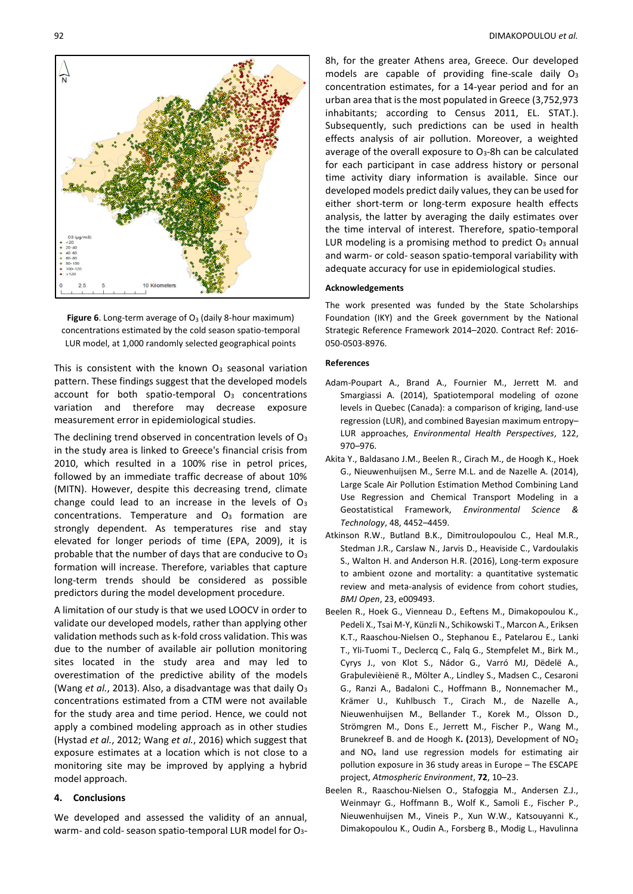



This is consistent with the known  $O<sub>3</sub>$  seasonal variation pattern. These findings suggest that the developed models account for both spatio-temporal  $O<sub>3</sub>$  concentrations variation and therefore may decrease exposure measurement error in epidemiological studies.

The declining trend observed in concentration levels of O<sup>3</sup> in the study area is linked to Greece's financial crisis from 2010, which resulted in a 100% rise in petrol prices, followed by an immediate traffic decrease of about 10% (MITN). However, despite this decreasing trend, climate change could lead to an increase in the levels of  $O<sub>3</sub>$ concentrations. Temperature and O<sup>3</sup> formation are strongly dependent. As temperatures rise and stay elevated for longer periods of time (EPA, 2009), it is probable that the number of days that are conducive to O<sup>3</sup> formation will increase. Therefore, variables that capture long-term trends should be considered as possible predictors during the model development procedure.

A limitation of our study is that we used LOOCV in order to validate our developed models, rather than applying other validation methods such as k-fold cross validation. This was due to the number of available air pollution monitoring sites located in the study area and may led to overestimation of the predictive ability of the models (Wang *et al.*, 2013). Also, a disadvantage was that daily O<sub>3</sub> concentrations estimated from a CTM were not available for the study area and time period. Hence, we could not apply a combined modeling approach as in other studies (Hystad *et al.*, 2012; Wang *et al.*, 2016) which suggest that exposure estimates at a location which is not close to a monitoring site may be improved by applying a hybrid model approach.

#### **4. Conclusions**

We developed and assessed the validity of an annual, warm- and cold- season spatio-temporal LUR model for O38h, for the greater Athens area, Greece. Our developed models are capable of providing fine-scale daily O<sup>3</sup> concentration estimates, for a 14-year period and for an urban area that is the most populated in Greece (3,752,973 inhabitants; according to Census 2011, EL. STAT.). Subsequently, such predictions can be used in health effects analysis of air pollution. Moreover, a weighted average of the overall exposure to O3-8h can be calculated for each participant in case address history or personal time activity diary information is available. Since our developed models predict daily values, they can be used for either short-term or long-term exposure health effects analysis, the latter by averaging the daily estimates over the time interval of interest. Therefore, spatio-temporal LUR modeling is a promising method to predict  $O<sub>3</sub>$  annual and warm- or cold- season spatio-temporal variability with adequate accuracy for use in epidemiological studies.

#### **Acknowledgements**

The work presented was funded by the State Scholarships Foundation (IKY) and the Greek government by the National Strategic Reference Framework 2014–2020. Contract Ref: 2016- 050-0503-8976.

#### **References**

- Adam-Poupart A., Brand A., Fournier M., Jerrett M. and Smargiassi A. (2014), Spatiotemporal modeling of ozone levels in Quebec (Canada): a comparison of kriging, land-use regression (LUR), and combined Bayesian maximum entropy– LUR approaches, *Environmental Health Perspectives*, 122, 970–976.
- Akita Y., Baldasano J.M., Beelen R., Cirach M., de Hoogh K., Hoek G., Nieuwenhuijsen M., Serre M.L. and de Nazelle A. (2014), Large Scale Air Pollution Estimation Method Combining Land Use Regression and Chemical Transport Modeling in a Geostatistical Framework, *Environmental Science & Technology*, 48, 4452–4459.
- Atkinson R.W., Butland B.K., Dimitroulopoulou C., Heal M.R., Stedman J.R., Carslaw N., Jarvis D., Heaviside C., Vardoulakis S., Walton H. and Anderson H.R. (2016), Long-term exposure to ambient ozone and mortality: a quantitative systematic review and meta-analysis of evidence from cohort studies, *BMJ Open*, 23, e009493.
- Beelen R., Hoek G., Vienneau D., Eeftens M., Dimakopoulou K., Pedeli X., Tsai M-Y, Künzli N., Schikowski T., Marcon A., Eriksen K.T., Raaschou-Nielsen O., Stephanou E., Patelarou E., Lanki T., Yli-Tuomi T., Declercq C., Falq G., Stempfelet M., Birk M., Cyrys J., von Klot S., Nádor G., Varró MJ, Dëdelë A., Graþulevièienë R., Mölter A., Lindley S., Madsen C., Cesaroni G., Ranzi A., Badaloni C., Hoffmann B., Nonnemacher M., Krämer U., Kuhlbusch T., Cirach M., de Nazelle A., Nieuwenhuijsen M., Bellander T., Korek M., Olsson D., Strömgren M., Dons E., Jerrett M., Fischer P., Wang M., Brunekreef B. and de Hoogh K**. (**2013), Development of NO<sup>2</sup> and  $NO<sub>x</sub>$  land use regression models for estimating air pollution exposure in 36 study areas in Europe – The ESCAPE project, *Atmospheric Environment*, **72**, 10–23.
- Beelen R., Raaschou-Nielsen O., Stafoggia M., Andersen Z.J., Weinmayr G., Hoffmann B., Wolf K., Samoli E., Fischer P., Nieuwenhuijsen M., Vineis P., Xun W.W., Katsouyanni K., Dimakopoulou K., Oudin A., Forsberg B., Modig L., Havulinna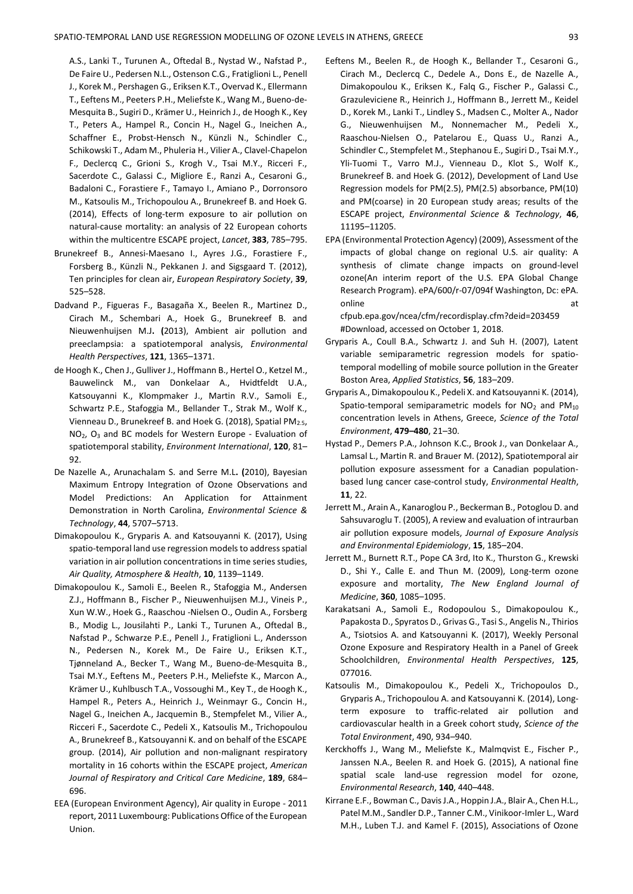A.S., Lanki T., Turunen A., Oftedal B., Nystad W., Nafstad P., De Faire U., Pedersen N.L., Ostenson C.G., Fratiglioni L., Penell J., Korek M., Pershagen G., Eriksen K.T., Overvad K., Ellermann T., Eeftens M., Peeters P.H., Meliefste K., Wang M., Bueno-de-Mesquita B., Sugiri D., Krämer U., Heinrich J., de Hoogh K., Key T., Peters A., Hampel R., Concin H., Nagel G., Ineichen A., Schaffner E., Probst-Hensch N., Künzli N., Schindler C., Schikowski T., Adam M., Phuleria H., Vilier A., Clavel-Chapelon F., Declercq C., Grioni S., Krogh V., Tsai M.Y., Ricceri F., Sacerdote C., Galassi C., Migliore E., Ranzi A., Cesaroni G., Badaloni C., Forastiere F., Tamayo I., Amiano P., Dorronsoro M., Katsoulis M., Trichopoulou A., Brunekreef B. and Hoek G. (2014), Effects of long-term exposure to air pollution on natural-cause mortality: an analysis of 22 European cohorts within the multicentre ESCAPE project, *Lancet*, **383**, 785–795.

- Brunekreef B., Annesi-Maesano I., Ayres J.G., Forastiere F., Forsberg B., Künzli N., Pekkanen J. and Sigsgaard T. (2012), Ten principles for clean air, *European Respiratory Society*, **39**, 525–528.
- Dadvand P., Figueras F., Basagaña X., Beelen R., Martinez D., Cirach M., Schembari A., Hoek G., Brunekreef B. and Nieuwenhuijsen M.J**. (**2013), Ambient air pollution and preeclampsia: a spatiotemporal analysis, *Environmental Health Perspectives*, **121**, 1365–1371.
- de Hoogh K., Chen J., Gulliver J., Hoffmann B., Hertel O., Ketzel M., Bauwelinck M., van Donkelaar A., Hvidtfeldt U.A., Katsouyanni K., Klompmaker J., Martin R.V., Samoli E., Schwartz P.E., Stafoggia M., Bellander T., Strak M., Wolf K., Vienneau D., Brunekreef B. and Hoek G. (2018), Spatial PM<sub>2.5</sub>, NO2, O<sup>3</sup> and BC models for Western Europe - Evaluation of spatiotemporal stability, *Environment International*, **120**, 81– 92.
- De Nazelle A., Arunachalam S. and Serre M.L**. (**2010), Bayesian Maximum Entropy Integration of Ozone Observations and Model Predictions: An Application for Attainment Demonstration in North Carolina, *Environmental Science & Technology*, **44**, 5707–5713.
- Dimakopoulou K., Gryparis A. and Katsouyanni K. (2017), Using spatio-temporal land use regression models to address spatial variation in air pollution concentrations in time series studies, *Air Quality, Atmosphere & Health*, **10**, 1139–1149.
- Dimakopoulou K., Samoli E., Beelen R., Stafoggia M., Andersen Z.J., Hoffmann B., Fischer P., Nieuwenhuijsen M.J., Vineis P., Xun W.W., Hoek G., Raaschou -Nielsen O., Oudin A., Forsberg B., Modig L., Jousilahti P., Lanki T., Turunen A., Oftedal B., Nafstad P., Schwarze P.E., Penell J., Fratiglioni L., Andersson N., Pedersen N., Korek M., De Faire U., Eriksen K.T., Tjønneland A., Becker T., Wang M., Bueno-de-Mesquita B., Tsai M.Y., Eeftens M., Peeters P.H., Meliefste K., Marcon A., Krämer U., Kuhlbusch T.A., Vossoughi M., Key T., de Hoogh K., Hampel R., Peters A., Heinrich J., Weinmayr G., Concin H., Nagel G., Ineichen A., Jacquemin B., Stempfelet M., Vilier A., Ricceri F., Sacerdote C., Pedeli X., Katsoulis M., Trichopoulou A., Brunekreef B., Katsouyanni K. and on behalf of the ESCAPE group. (2014), Air pollution and non-malignant respiratory mortality in 16 cohorts within the ESCAPE project, *American Journal of Respiratory and Critical Care Medicine*, **189**, 684– 696.
- EEA (European Environment Agency), Air quality in Europe 2011 report, 2011 Luxembourg: Publications Office of the European Union.
- Eeftens M., Beelen R., de Hoogh K., Bellander T., Cesaroni G., Cirach M., Declercq C., Dedele A., Dons E., de Nazelle A., Dimakopoulou K., Eriksen K., Falq G., Fischer P., Galassi C., Grazuleviciene R., Heinrich J., Hoffmann B., Jerrett M., Keidel D., Korek M., Lanki T., Lindley S., Madsen C., Molter A., Nador G., Nieuwenhuijsen M., Nonnemacher M., Pedeli X., Raaschou-Nielsen O., Patelarou E., Quass U., Ranzi A., Schindler C., Stempfelet M., Stephanou E., Sugiri D., Tsai M.Y., Yli-Tuomi T., Varro M.J., Vienneau D., Klot S., Wolf K., Brunekreef B. and Hoek G. (2012), Development of Land Use Regression models for PM(2.5), PM(2.5) absorbance, PM(10) and PM(coarse) in 20 European study areas; results of the ESCAPE project, *Environmental Science & Technology*, **46**, 11195–11205.
- EPA (Environmental Protection Agency) (2009), Assessment of the impacts of global change on regional U.S. air quality: A synthesis of climate change impacts on ground-level ozone(An interim report of the U.S. EPA Global Change Research Program). ePA/600/r-07/094f Washington, Dc: ePA. online at a state of the state of the state and state at a state of the state at a state at a state  $\alpha$ cfpub.epa.gov/ncea/cfm/recordisplay.cfm?deid=203459 #Download, accessed on October 1, 2018.
- Gryparis A., Coull B.A., Schwartz J. and Suh H. (2007), Latent variable semiparametric regression models for spatiotemporal modelling of mobile source pollution in the Greater Boston Area, *Applied Statistics*, **56**, 183–209.
- Gryparis A., Dimakopoulou K., Pedeli X. and Katsouyanni K. (2014), Spatio-temporal semiparametric models for  $NO<sub>2</sub>$  and  $PM<sub>10</sub>$ concentration levels in Athens, Greece, *Science of the Total Environment*, **479–480**, 21–30.
- Hystad P., Demers P.A., Johnson K.C., Brook J., van Donkelaar A., Lamsal L., Martin R. and Brauer M. (2012), Spatiotemporal air pollution exposure assessment for a Canadian populationbased lung cancer case-control study, *Environmental Health*, **11**, 22.
- Jerrett M., Arain A., Kanaroglou P., Beckerman B., Potoglou D. and Sahsuvaroglu T. (2005), A review and evaluation of intraurban air pollution exposure models, *Journal of Exposure Analysis and Environmental Epidemiology*, **15**, 185–204.
- Jerrett M., Burnett R.T., Pope CA 3rd, Ito K., Thurston G., Krewski D., Shi Y., Calle E. and Thun M. (2009), Long-term ozone exposure and mortality, *The New England Journal of Medicine*, **360**, 1085–1095.
- Karakatsani A., Samoli E., Rodopoulou S., Dimakopoulou K., Papakosta D., Spyratos D., Grivas G., Tasi S., Angelis N., Thirios A., Tsiotsios A. and Katsouyanni K. (2017), Weekly Personal Ozone Exposure and Respiratory Health in a Panel of Greek Schoolchildren, *Environmental Health Perspectives*, **125**, 077016.
- Katsoulis M., Dimakopoulou K., Pedeli X., Trichopoulos D., Gryparis A., Trichopoulou A. and Katsouyanni K. (2014), Longterm exposure to traffic-related air pollution and cardiovascular health in a Greek cohort study, *Science of the Total Environment*, 490, 934–940.
- Kerckhoffs J., Wang M., Meliefste K., Malmqvist E., Fischer P., Janssen N.A., Beelen R. and Hoek G. (2015), A national fine spatial scale land-use regression model for ozone, *Environmental Research*, **140**, 440–448.
- Kirrane E.F., Bowman C., Davis J.A., Hoppin J.A., Blair A., Chen H.L., Patel M.M., Sandler D.P., Tanner C.M., Vinikoor-Imler L., Ward M.H., Luben T.J. and Kamel F. (2015), Associations of Ozone